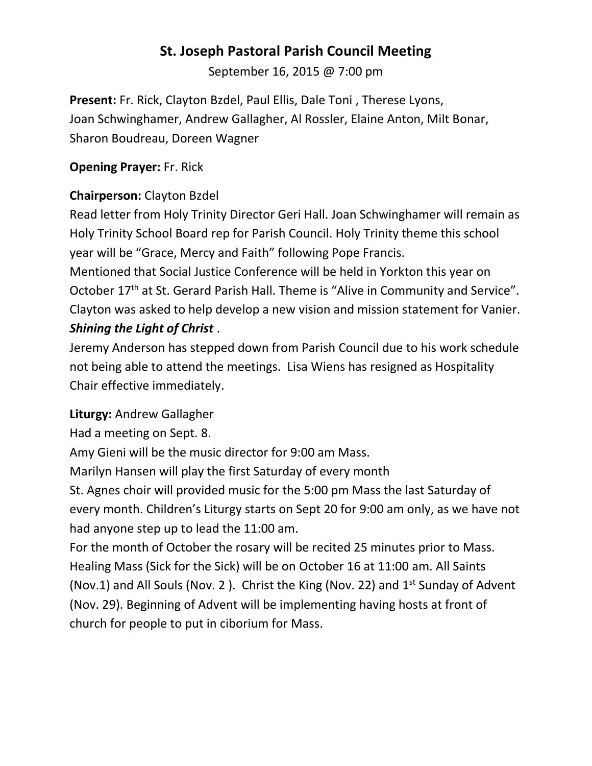# **St. Joseph Pastoral Parish Council Meeting**

September 16, 2015 @ 7:00 pm

**Present:** Fr. Rick, Clayton Bzdel, Paul Ellis, Dale Toni , Therese Lyons, Joan Schwinghamer, Andrew Gallagher, Al Rossler, Elaine Anton, Milt Bonar, Sharon Boudreau, Doreen Wagner

### **Opening Prayer:** Fr. Rick

## **Chairperson:** Clayton Bzdel

Read letter from Holy Trinity Director Geri Hall. Joan Schwinghamer will remain as Holy Trinity School Board rep for Parish Council. Holy Trinity theme this school year will be "Grace, Mercy and Faith" following Pope Francis. Mentioned that Social Justice Conference will be held in Yorkton this year on October 17<sup>th</sup> at St. Gerard Parish Hall. Theme is "Alive in Community and Service". Clayton was asked to help develop a new vision and mission statement for Vanier. *Shining the Light of Christ* .

Jeremy Anderson has stepped down from Parish Council due to his work schedule not being able to attend the meetings. Lisa Wiens has resigned as Hospitality Chair effective immediately.

# **Liturgy:** Andrew Gallagher

Had a meeting on Sept. 8.

Amy Gieni will be the music director for 9:00 am Mass.

Marilyn Hansen will play the first Saturday of every month

St. Agnes choir will provided music for the 5:00 pm Mass the last Saturday of every month. Children's Liturgy starts on Sept 20 for 9:00 am only, as we have not had anyone step up to lead the 11:00 am.

For the month of October the rosary will be recited 25 minutes prior to Mass. Healing Mass (Sick for the Sick) will be on October 16 at 11:00 am. All Saints (Nov.1) and All Souls (Nov. 2). Christ the King (Nov. 22) and  $1<sup>st</sup>$  Sunday of Advent (Nov. 29). Beginning of Advent will be implementing having hosts at front of church for people to put in ciborium for Mass.